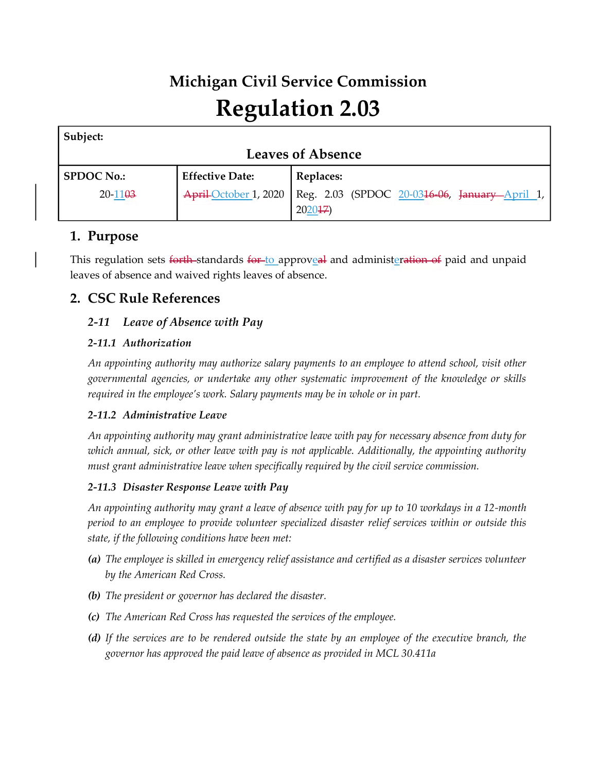# **Michigan Civil Service Commission Regulation 2.03**

| Subject:                 |                        |                                                                       |
|--------------------------|------------------------|-----------------------------------------------------------------------|
| <b>Leaves of Absence</b> |                        |                                                                       |
| <b>SPDOC No.:</b>        | <b>Effective Date:</b> | Replaces:                                                             |
| $20 - 1103$              |                        | April October 1, 2020   Reg. 2.03 (SPDOC 20-0316-06, January April 1, |
|                          |                        | 202047                                                                |

# **1. Purpose**

This regulation sets forth-standards for-to approveal and administeration of paid and unpaid leaves of absence and waived rights leaves of absence.

# **2. CSC Rule References**

# *2-11 Leave of Absence with Pay*

# *2-11.1 Authorization*

*An appointing authority may authorize salary payments to an employee to attend school, visit other governmental agencies, or undertake any other systematic improvement of the knowledge or skills required in the employee's work. Salary payments may be in whole or in part.*

## *2-11.2 Administrative Leave*

*An appointing authority may grant administrative leave with pay for necessary absence from duty for which annual, sick, or other leave with pay is not applicable. Additionally, the appointing authority must grant administrative leave when specifically required by the civil service commission.*

## *2-11.3 Disaster Response Leave with Pay*

*An appointing authority may grant a leave of absence with pay for up to 10 workdays in a 12-month period to an employee to provide volunteer specialized disaster relief services within or outside this state, if the following conditions have been met:*

- *(a) The employee is skilled in emergency relief assistance and certified as a disaster services volunteer by the American Red Cross.*
- *(b) The president or governor has declared the disaster.*
- *(c) The American Red Cross has requested the services of the employee.*
- *(d) If the services are to be rendered outside the state by an employee of the executive branch, the governor has approved the paid leave of absence as provided in MCL 30.411a*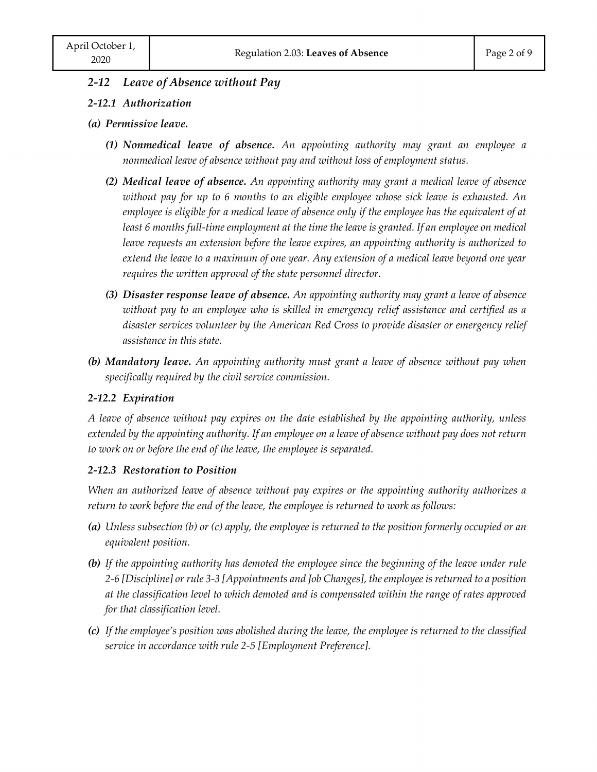#### *2-12 Leave of Absence without Pay*

#### *2-12.1 Authorization*

#### *(a) Permissive leave.*

- *(1) Nonmedical leave of absence. An appointing authority may grant an employee a nonmedical leave of absence without pay and without loss of employment status.*
- *(2) Medical leave of absence. An appointing authority may grant a medical leave of absence without pay for up to 6 months to an eligible employee whose sick leave is exhausted. An*  employee is eligible for a medical leave of absence only if the employee has the equivalent of at *least 6 months full-time employment at the time the leave is granted. If an employee on medical leave requests an extension before the leave expires, an appointing authority is authorized to extend the leave to a maximum of one year. Any extension of a medical leave beyond one year requires the written approval of the state personnel director.*
- *(3) Disaster response leave of absence. An appointing authority may grant a leave of absence without pay to an employee who is skilled in emergency relief assistance and certified as a disaster services volunteer by the American Red Cross to provide disaster or emergency relief assistance in this state.*
- *(b) Mandatory leave. An appointing authority must grant a leave of absence without pay when specifically required by the civil service commission.*

#### *2-12.2 Expiration*

*A leave of absence without pay expires on the date established by the appointing authority, unless extended by the appointing authority. If an employee on a leave of absence without pay does not return to work on or before the end of the leave, the employee is separated.* 

#### *2-12.3 Restoration to Position*

*When an authorized leave of absence without pay expires or the appointing authority authorizes a return to work before the end of the leave, the employee is returned to work as follows:*

- *(a) Unless subsection (b) or (c) apply, the employee is returned to the position formerly occupied or an equivalent position.*
- *(b) If the appointing authority has demoted the employee since the beginning of the leave under rule 2-6 [Discipline] or rule 3-3 [Appointments and Job Changes], the employee is returned to a position at the classification level to which demoted and is compensated within the range of rates approved for that classification level.*
- *(c)* If the employee's position was abolished during the leave, the employee is returned to the classified *service in accordance with rule 2-5 [Employment Preference].*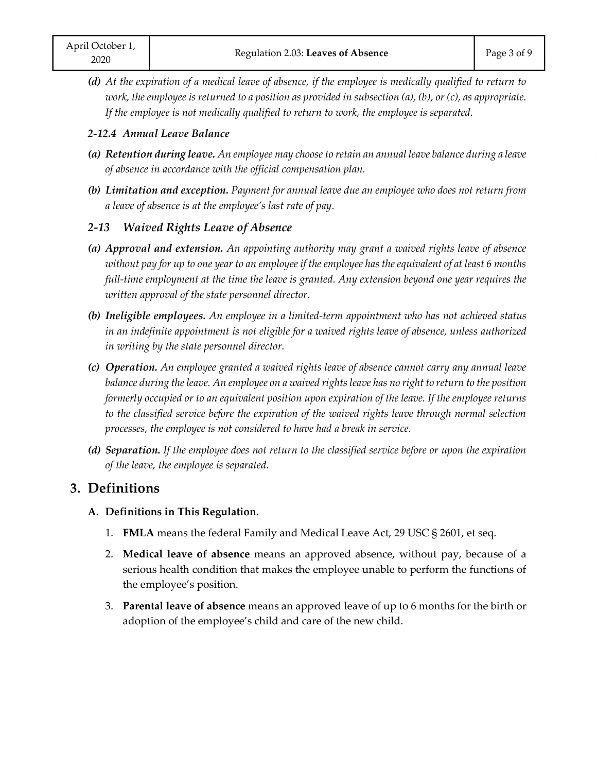*(d) At the expiration of a medical leave of absence, if the employee is medically qualified to return to work, the employee is returned to a position as provided in subsection (a), (b), or (c), as appropriate. If the employee is not medically qualified to return to work, the employee is separated.*

## *2-12.4 Annual Leave Balance*

- *(a) Retention during leave. An employee may choose to retain an annual leave balance during a leave of absence in accordance with the official compensation plan.*
- *(b) Limitation and exception. Payment for annual leave due an employee who does not return from a leave of absence is at the employee's last rate of pay.*

## *2-13 Waived Rights Leave of Absence*

- *(a) Approval and extension. An appointing authority may grant a waived rights leave of absence without pay for up to one year to an employee if the employee has the equivalent of at least 6 months full-time employment at the time the leave is granted. Any extension beyond one year requires the written approval of the state personnel director.*
- *(b) Ineligible employees. An employee in a limited-term appointment who has not achieved status in an indefinite appointment is not eligible for a waived rights leave of absence, unless authorized in writing by the state personnel director.*
- *(c) Operation. An employee granted a waived rights leave of absence cannot carry any annual leave balance during the leave. An employee on a waived rights leave has no right to return to the position formerly occupied or to an equivalent position upon expiration of the leave. If the employee returns to the classified service before the expiration of the waived rights leave through normal selection processes, the employee is not considered to have had a break in service.*
- *(d) Separation. If the employee does not return to the classified service before or upon the expiration of the leave, the employee is separated.*

# **3. Definitions**

- **A. Definitions in This Regulation.**
	- 1. **FMLA** means the federal Family and Medical Leave Act, 29 USC § 2601, et seq.
	- 2. **Medical leave of absence** means an approved absence, without pay, because of a serious health condition that makes the employee unable to perform the functions of the employee's position.
	- 3. **Parental leave of absence** means an approved leave of up to 6 months for the birth or adoption of the employee's child and care of the new child.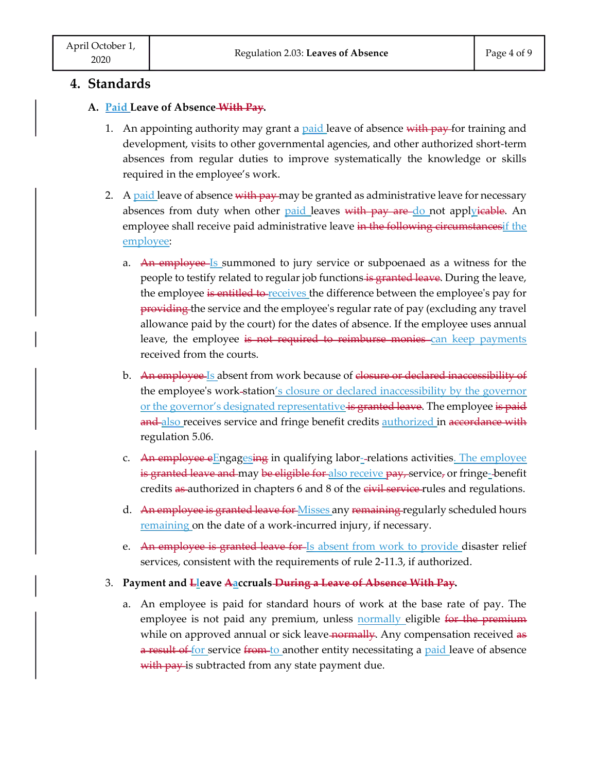# **4. Standards**

#### **A. Paid Leave of Absence With Pay.**

- 1. An appointing authority may grant a <u>paid l</u>eave of absence with pay for training and development, visits to other governmental agencies, and other authorized short-term absences from regular duties to improve systematically the knowledge or skills required in the employee's work.
- 2. A paid leave of absence with pay-may be granted as administrative leave for necessary absences from duty when other <u>paid l</u>eaves <del>with pay are <u>do</u> not appl<u>y</u>icable</del>. An employee shall receive paid administrative leave in the following circumstances if the employee:
	- a. An employee Is summoned to jury service or subpoenaed as a witness for the people to testify related to regular job functions is granted leave. During the leave, the employee is entitled to receives the difference between the employee's pay for providing the service and the employee's regular rate of pay (excluding any travel allowance paid by the court) for the dates of absence. If the employee uses annual leave, the employee is not required to reimburse monies can keep payments received from the courts.
	- b. An employee Is absent from work because of closure or declared inaccessibility of the employee's work-station's closure or declared inaccessibility by the governor or the governor's designated representative is granted leave. The employee is paid and also receives service and fringe benefit credits **authorized** in accordance with regulation 5.06.
	- c. <del>An employee e</del>Enga<u>gesin<del>g</del></u> in qualifying labor--relations activities<u>. The employee</u> is granted leave and may be eligible for also receive pay, service, or fringe-benefit credits as authorized in chapters 6 and 8 of the civil service rules and regulations.
	- d. An employee is granted leave for Misses any remaining regularly scheduled hours remaining on the date of a work-incurred injury, if necessary.
	- e. An employee is granted leave for Is absent from work to provide disaster relief services, consistent with the requirements of rule 2-11.3, if authorized.
- 3. **Payment and Lleave Aaccruals During a Leave of Absence With Pay.** -
	- a. An employee is paid for standard hours of work at the base rate of pay. The employee is not paid any premium, unless **normally** eligible for the premium while on approved annual or sick leave normally. Any compensation received as a result of for service from to another entity necessitating a paid leave of absence with pay is subtracted from any state payment due.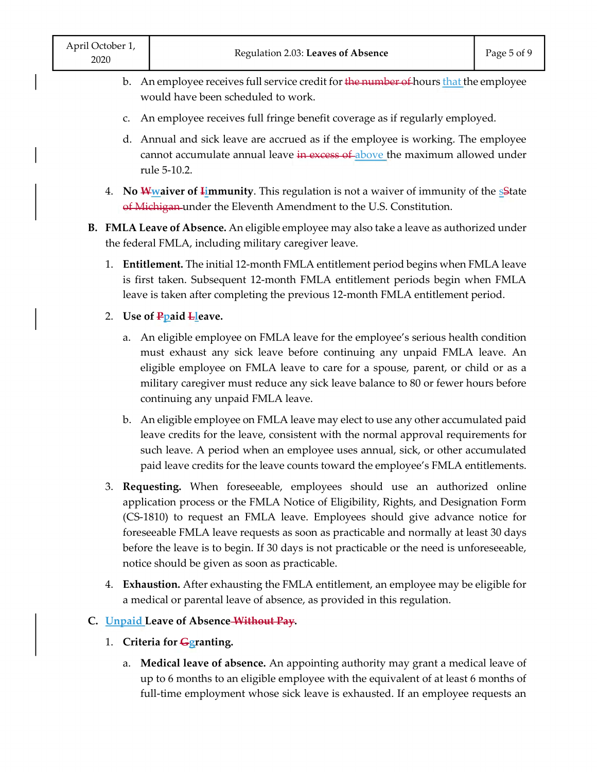- b. An employee receives full service credit for the number of hours that the employee would have been scheduled to work.
- c. An employee receives full fringe benefit coverage as if regularly employed.
- d. Annual and sick leave are accrued as if the employee is working. The employee cannot accumulate annual leave in excess of above the maximum allowed under rule 5-10.2.
- 4. **No Wwaiver of Limmunity**. This regulation is not a waiver of immunity of the **S**iate of Michigan under the Eleventh Amendment to the U.S. Constitution.
- **B. FMLA Leave of Absence.** An eligible employee may also take a leave as authorized under the federal FMLA, including military caregiver leave.
	- 1. **Entitlement.** The initial 12-month FMLA entitlement period begins when FMLA leave is first taken. Subsequent 12-month FMLA entitlement periods begin when FMLA leave is taken after completing the previous 12-month FMLA entitlement period.
	- 2. **Use of Ppaid Lleave.**
		- a. An eligible employee on FMLA leave for the employee's serious health condition must exhaust any sick leave before continuing any unpaid FMLA leave. An eligible employee on FMLA leave to care for a spouse, parent, or child or as a military caregiver must reduce any sick leave balance to 80 or fewer hours before continuing any unpaid FMLA leave.
		- b. An eligible employee on FMLA leave may elect to use any other accumulated paid leave credits for the leave, consistent with the normal approval requirements for such leave. A period when an employee uses annual, sick, or other accumulated paid leave credits for the leave counts toward the employee's FMLA entitlements.
	- 3. **Requesting.** When foreseeable, employees should use an authorized online application process or the FMLA Notice of Eligibility, Rights, and Designation Form (CS-1810) to request an FMLA leave. Employees should give advance notice for foreseeable FMLA leave requests as soon as practicable and normally at least 30 days before the leave is to begin. If 30 days is not practicable or the need is unforeseeable, notice should be given as soon as practicable.
	- 4. **Exhaustion.** After exhausting the FMLA entitlement, an employee may be eligible for a medical or parental leave of absence, as provided in this regulation.
- **C. Unpaid Leave of Absence Without Pay.**
	- 1. **Criteria for Ggranting.**
		- a. **Medical leave of absence.** An appointing authority may grant a medical leave of up to 6 months to an eligible employee with the equivalent of at least 6 months of full-time employment whose sick leave is exhausted. If an employee requests an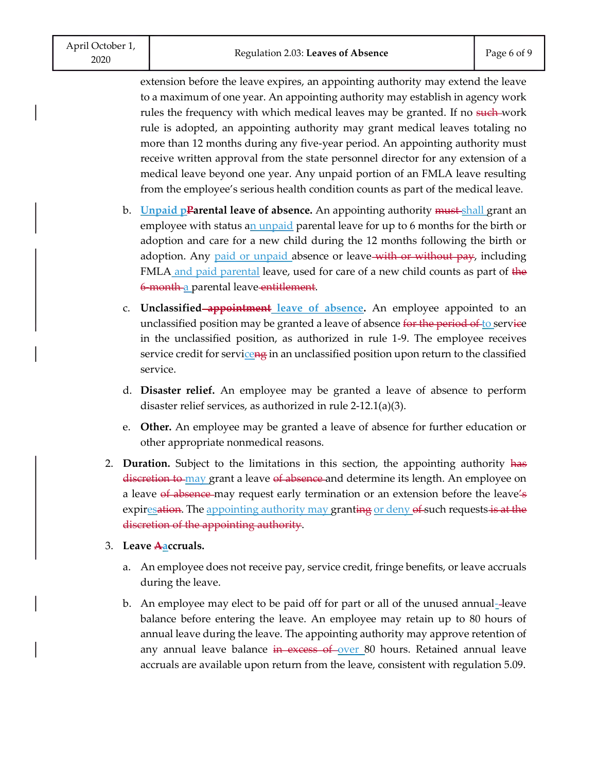extension before the leave expires, an appointing authority may extend the leave to a maximum of one year. An appointing authority may establish in agency work rules the frequency with which medical leaves may be granted. If no such work rule is adopted, an appointing authority may grant medical leaves totaling no more than 12 months during any five-year period. An appointing authority must receive written approval from the state personnel director for any extension of a medical leave beyond one year. Any unpaid portion of an FMLA leave resulting from the employee's serious health condition counts as part of the medical leave.

- b. **Unpaid pParental leave of absence.** An appointing authority must shall grant an employee with status an unpaid parental leave for up to 6 months for the birth or adoption and care for a new child during the 12 months following the birth or adoption. Any paid or unpaid absence or leave-with or without pay, including FMLA and paid parental leave, used for care of a new child counts as part of the 6-month a parental leave entitlement.
- c. **Unclassified appointment leave of absence.** An employee appointed to an unclassified position may be granted a leave of absence for the period of to service in the unclassified position, as authorized in rule 1-9. The employee receives service credit for serviceng in an unclassified position upon return to the classified service.
- d. **Disaster relief.** An employee may be granted a leave of absence to perform disaster relief services, as authorized in rule 2-12.1(a)(3).
- e. **Other.** An employee may be granted a leave of absence for further education or other appropriate nonmedical reasons.
- 2. **Duration.** Subject to the limitations in this section, the appointing authority has discretion to may grant a leave of absence and determine its length. An employee on a leave of absence may request early termination or an extension before the leave's expiresation. The appointing authority may granting or deny of such requests is at the discretion of the appointing authority.
- 3. **Leave Aaccruals.**
	- a. An employee does not receive pay, service credit, fringe benefits, or leave accruals during the leave.
	- b. An employee may elect to be paid off for part or all of the unused annual- leave balance before entering the leave. An employee may retain up to 80 hours of annual leave during the leave. The appointing authority may approve retention of any annual leave balance in excess of over 80 hours. Retained annual leave accruals are available upon return from the leave, consistent with regulation 5.09.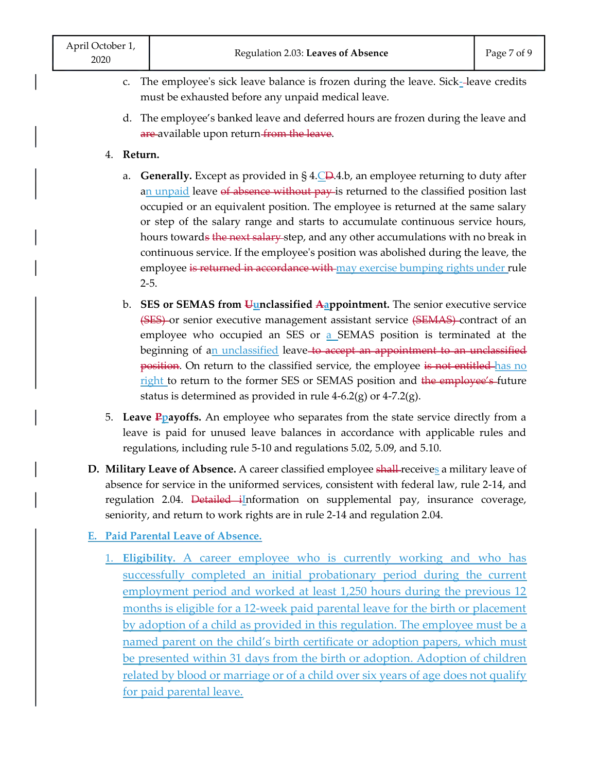- c. The employee's sick leave balance is frozen during the leave. Sick- leave credits must be exhausted before any unpaid medical leave.
- d. The employee's banked leave and deferred hours are frozen during the leave and are available upon return from the leave.

## 4. **Return.**

- a. **Generally.** Except as provided in § 4.CD.4.b, an employee returning to duty after an unpaid leave of absence without pay is returned to the classified position last occupied or an equivalent position. The employee is returned at the same salary or step of the salary range and starts to accumulate continuous service hours, hours towards the next salary step, and any other accumulations with no break in continuous service. If the employee's position was abolished during the leave, the employee is returned in accordance with may exercise bumping rights under rule 2-5.
- b. **SES or SEMAS from Uunclassified Aappointment.** The senior executive service (SES) or senior executive management assistant service (SEMAS) contract of an employee who occupied an SES or a SEMAS position is terminated at the beginning of an unclassified leave to accept an appointment to an unclassified position. On return to the classified service, the employee is not entitled has no right to return to the former SES or SEMAS position and the employee's future status is determined as provided in rule 4-6.2(g) or 4-7.2(g).
- 5. **Leave Ppayoffs.** An employee who separates from the state service directly from a leave is paid for unused leave balances in accordance with applicable rules and regulations, including rule 5-10 and regulations 5.02, 5.09, and 5.10.
- **D. Military Leave of Absence.** A career classified employee shall-receives a military leave of absence for service in the uniformed services, consistent with federal law, rule 2-14, and regulation 2.04. Detailed iInformation on supplemental pay, insurance coverage, seniority, and return to work rights are in rule 2-14 and regulation 2.04.

**E. Paid Parental Leave of Absence.**

1. **Eligibility.** A career employee who is currently working and who has successfully completed an initial probationary period during the current employment period and worked at least 1,250 hours during the previous 12 months is eligible for a 12-week paid parental leave for the birth or placement by adoption of a child as provided in this regulation. The employee must be a named parent on the child's birth certificate or adoption papers, which must be presented within 31 days from the birth or adoption. Adoption of children related by blood or marriage or of a child over six years of age does not qualify for paid parental leave.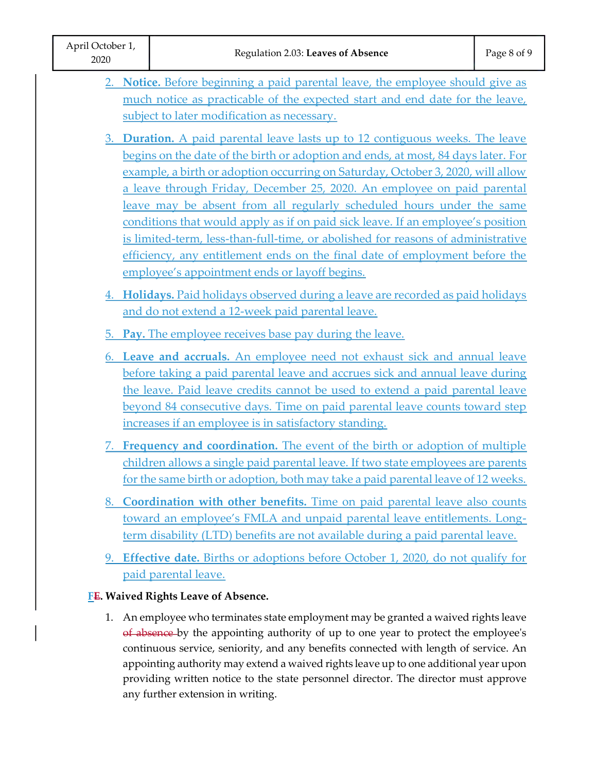|                                     | 2. Notice. Before beginning a paid parental leave, the employee should give as     |  |
|-------------------------------------|------------------------------------------------------------------------------------|--|
|                                     | much notice as practicable of the expected start and end date for the leave,       |  |
|                                     | subject to later modification as necessary.                                        |  |
|                                     | 3. Duration. A paid parental leave lasts up to 12 contiguous weeks. The leave      |  |
|                                     | begins on the date of the birth or adoption and ends, at most, 84 days later. For  |  |
|                                     | example, a birth or adoption occurring on Saturday, October 3, 2020, will allow    |  |
|                                     | a leave through Friday, December 25, 2020. An employee on paid parental            |  |
|                                     | leave may be absent from all regularly scheduled hours under the same              |  |
|                                     | conditions that would apply as if on paid sick leave. If an employee's position    |  |
|                                     | is limited-term, less-than-full-time, or abolished for reasons of administrative   |  |
|                                     | efficiency, any entitlement ends on the final date of employment before the        |  |
|                                     | employee's appointment ends or layoff begins.                                      |  |
|                                     | 4. Holidays. Paid holidays observed during a leave are recorded as paid holidays   |  |
|                                     | and do not extend a 12-week paid parental leave.                                   |  |
|                                     | 5. Pay. The employee receives base pay during the leave.                           |  |
|                                     | 6. Leave and accruals. An employee need not exhaust sick and annual leave          |  |
|                                     | before taking a paid parental leave and accrues sick and annual leave during       |  |
|                                     | the leave. Paid leave credits cannot be used to extend a paid parental leave       |  |
|                                     | beyond 84 consecutive days. Time on paid parental leave counts toward step         |  |
|                                     | increases if an employee is in satisfactory standing.                              |  |
|                                     | Frequency and coordination. The event of the birth or adoption of multiple         |  |
|                                     | children allows a single paid parental leave. If two state employees are parents   |  |
|                                     | for the same birth or adoption, both may take a paid parental leave of 12 weeks.   |  |
|                                     | 8. Coordination with other benefits. Time on paid parental leave also counts       |  |
|                                     | toward an employee's FMLA and unpaid parental leave entitlements. Long-            |  |
|                                     | term disability (LTD) benefits are not available during a paid parental leave.     |  |
|                                     |                                                                                    |  |
|                                     | 9. Effective date. Births or adoptions before October 1, 2020, do not qualify for  |  |
|                                     | paid parental leave.                                                               |  |
| FE. Waived Rights Leave of Absence. |                                                                                    |  |
| 1.                                  | An employee who terminates state employment may be granted a waived rights leave   |  |
|                                     | of absence by the appointing authority of up to one year to protect the employee's |  |

continuous service, seniority, and any benefits connected with length of service. An appointing authority may extend a waived rights leave up to one additional year upon providing written notice to the state personnel director. The director must approve any further extension in writing.